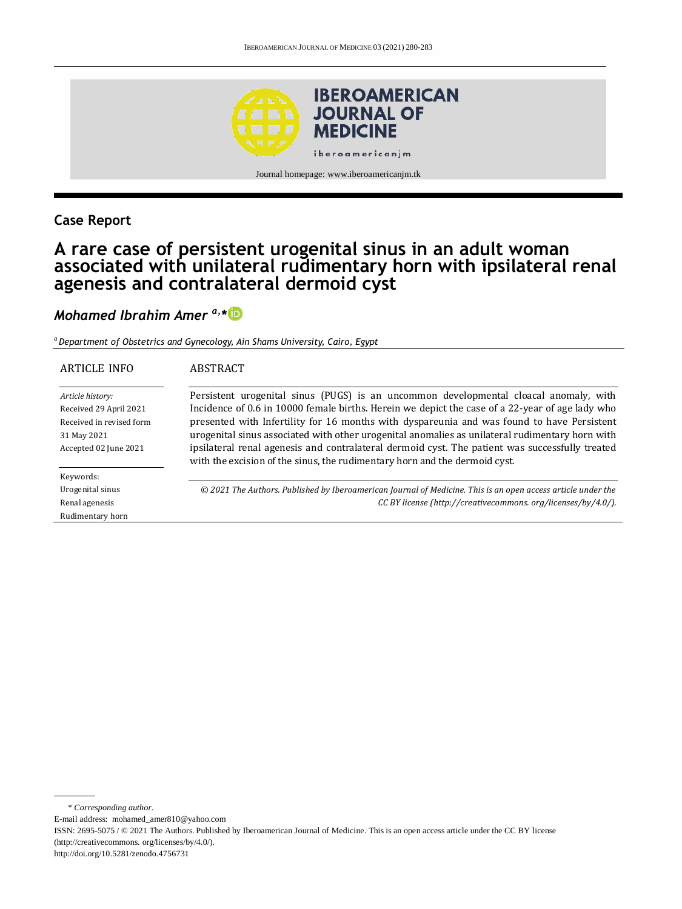

### **Case Report**

# **A rare case of persistent urogenital sinus in an adult woman associated with unilateral rudimentary horn with ipsilateral renal agenesis and contralateral dermoid cyst**

### *Mohamed Ibrahim Amer a,\**

*<sup>a</sup>Department of Obstetrics and Gynecology, Ain Shams University, Cairo, Egypt*

| ARTICLE INFO                                                                                                   | ABSTRACT                                                                                                                                                                                                                                                                                                                                                                                                                                                                                                                                                                   |
|----------------------------------------------------------------------------------------------------------------|----------------------------------------------------------------------------------------------------------------------------------------------------------------------------------------------------------------------------------------------------------------------------------------------------------------------------------------------------------------------------------------------------------------------------------------------------------------------------------------------------------------------------------------------------------------------------|
| Article history:<br>Received 29 April 2021<br>Received in revised form<br>31 May 2021<br>Accepted 02 June 2021 | Persistent urogenital sinus (PUGS) is an uncommon developmental cloacal anomaly, with<br>Incidence of 0.6 in 10000 female births. Herein we depict the case of a 22-year of age lady who<br>presented with Infertility for 16 months with dyspareunia and was found to have Persistent<br>urogenital sinus associated with other urogenital anomalies as unilateral rudimentary horn with<br>ipsilateral renal agenesis and contralateral dermoid cyst. The patient was successfully treated<br>with the excision of the sinus, the rudimentary horn and the dermoid cyst. |
| Keywords:                                                                                                      |                                                                                                                                                                                                                                                                                                                                                                                                                                                                                                                                                                            |
| Urogenital sinus                                                                                               | © 2021 The Authors. Published by Iberoamerican Journal of Medicine. This is an open access article under the                                                                                                                                                                                                                                                                                                                                                                                                                                                               |
| Renal agenesis                                                                                                 | CC BY license (http://creativecommons.org/licenses/by/4.0/).                                                                                                                                                                                                                                                                                                                                                                                                                                                                                                               |
| Rudimentary horn                                                                                               |                                                                                                                                                                                                                                                                                                                                                                                                                                                                                                                                                                            |

\* *Corresponding author.* E-mail address: mohamed\_amer810@yahoo.com ISSN: 2695-5075 / © 2021 The Authors. Published by Iberoamerican Journal of Medicine. This is an open access article under the CC BY license (http://creativecommons. org/licenses/by/4.0/). http://doi.org/10.5281/zenodo.4756731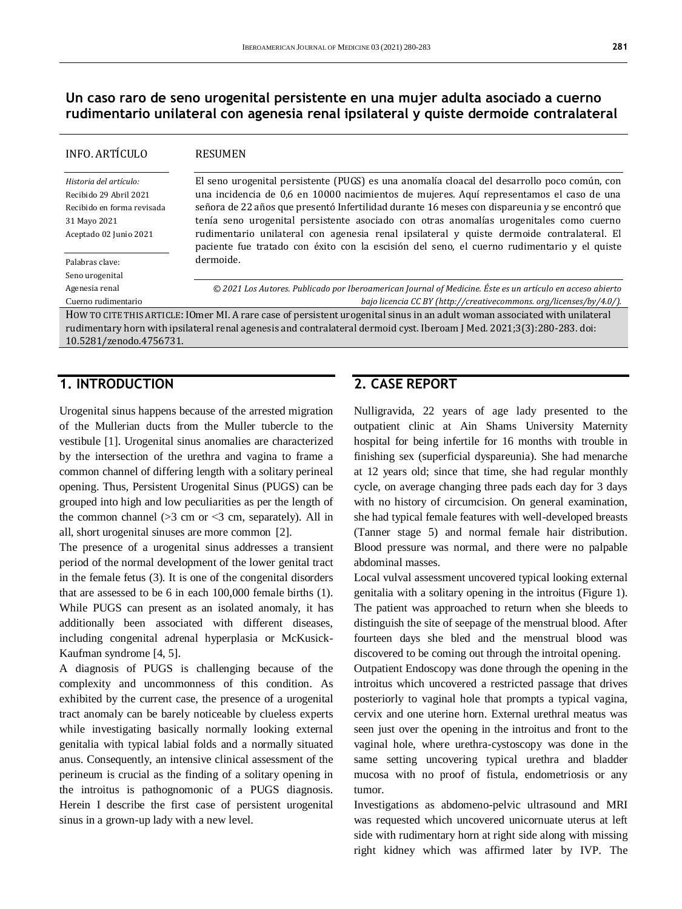**Un caso raro de seno urogenital persistente en una mujer adulta asociado a cuerno rudimentario unilateral con agenesia renal ipsilateral y quiste dermoide contralateral**

### INFO. ARTÍCULO *Historia del artículo:*  Recibido 29 Abril 2021 Recibido en forma revisada 31 Mayo 2021 Aceptado 02 Junio 2021 Palabras clave: Seno urogenital Agenesia renal Cuerno rudimentario RESUMEN El seno urogenital persistente (PUGS) es una anomalía cloacal del desarrollo poco común, con una incidencia de 0,6 en 10000 nacimientos de mujeres. Aquí representamos el caso de una señora de 22 años que presentó Infertilidad durante 16 meses con dispareunia y se encontró que tenía seno urogenital persistente asociado con otras anomalías urogenitales como cuerno rudimentario unilateral con agenesia renal ipsilateral y quiste dermoide contralateral. El paciente fue tratado con éxito con la escisión del seno, el cuerno rudimentario y el quiste dermoide. *© 2021 Los Autores. Publicado por Iberoamerican Journal of Medicine. Éste es un artículo en acceso abierto bajo licencia CC BY (http:/[/creativecommons. org/licenses/by/4.0/\)](https://creativecommons.org/licenses/by/4.0/).* HOW TO CITE THIS ARTICLE: IOmer MI. A rare case of persistent urogenital sinus in an adult woman associated with unilateral rudimentary horn with ipsilateral renal agenesis and contralateral dermoid cyst. Iberoam J Med. 2021;3(3):280-283. doi: [10.5281/zenodo.4756731.](http://doi.org/10.5281/zenodo.4756731)

### **1. INTRODUCTION**

Urogenital sinus happens because of the arrested migration of the Mullerian ducts from the Muller tubercle to the vestibule [1]. Urogenital sinus anomalies are characterized by the intersection of the urethra and vagina to frame a common channel of differing length with a solitary perineal opening. Thus, Persistent Urogenital Sinus (PUGS) can be grouped into high and low peculiarities as per the length of the common channel  $(>3$  cm or  $\leq 3$  cm, separately). All in all, short urogenital sinuses are more common [2].

The presence of a urogenital sinus addresses a transient period of the normal development of the lower genital tract in the female fetus (3). It is one of the congenital disorders that are assessed to be 6 in each 100,000 female births (1). While PUGS can present as an isolated anomaly, it has additionally been associated with different diseases, including congenital adrenal hyperplasia or McKusick-Kaufman syndrome [4, 5].

A diagnosis of PUGS is challenging because of the complexity and uncommonness of this condition. As exhibited by the current case, the presence of a urogenital tract anomaly can be barely noticeable by clueless experts while investigating basically normally looking external genitalia with typical labial folds and a normally situated anus. Consequently, an intensive clinical assessment of the perineum is crucial as the finding of a solitary opening in the introitus is pathognomonic of a PUGS diagnosis. Herein I describe the first case of persistent urogenital sinus in a grown-up lady with a new level.

### **2. CASE REPORT**

Nulligravida, 22 years of age lady presented to the outpatient clinic at Ain Shams University Maternity hospital for being infertile for 16 months with trouble in finishing sex (superficial dyspareunia). She had menarche at 12 years old; since that time, she had regular monthly cycle, on average changing three pads each day for 3 days with no history of circumcision. On general examination, she had typical female features with well-developed breasts (Tanner stage 5) and normal female hair distribution. Blood pressure was normal, and there were no palpable abdominal masses.

Local vulval assessment uncovered typical looking external genitalia with a solitary opening in the introitus (Figure 1). The patient was approached to return when she bleeds to distinguish the site of seepage of the menstrual blood. After fourteen days she bled and the menstrual blood was discovered to be coming out through the introital opening.

Outpatient Endoscopy was done through the opening in the introitus which uncovered a restricted passage that drives posteriorly to vaginal hole that prompts a typical vagina, cervix and one uterine horn. External urethral meatus was seen just over the opening in the introitus and front to the vaginal hole, where urethra-cystoscopy was done in the same setting uncovering typical urethra and bladder mucosa with no proof of fistula, endometriosis or any tumor.

Investigations as abdomeno-pelvic ultrasound and MRI was requested which uncovered unicornuate uterus at left side with rudimentary horn at right side along with missing right kidney which was affirmed later by IVP. The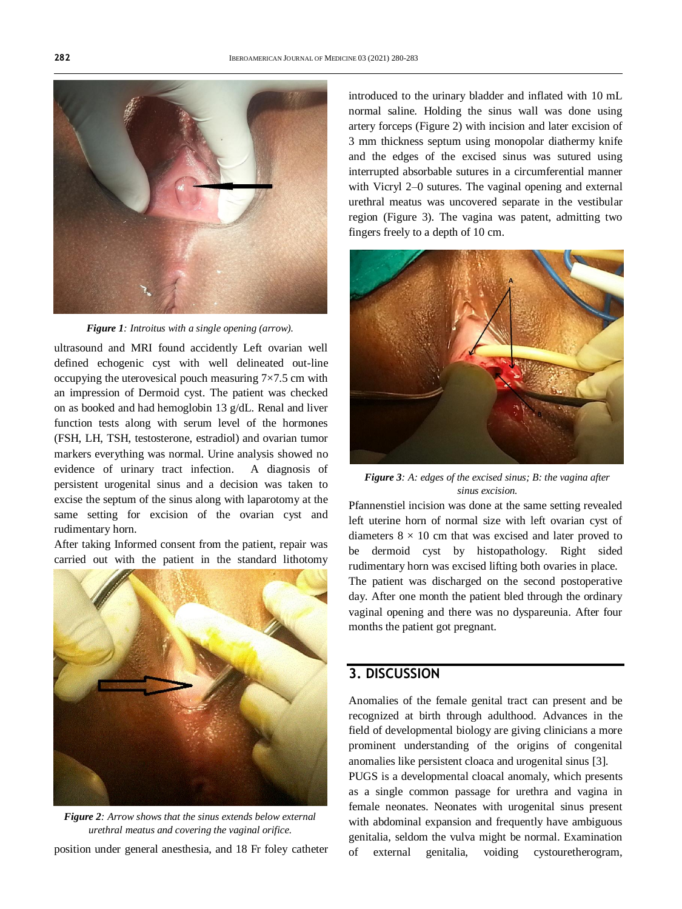

*Figure 1: Introitus with a single opening (arrow).*

ultrasound and MRI found accidently Left ovarian well defined echogenic cyst with well delineated out-line occupying the uterovesical pouch measuring  $7\times7.5$  cm with an impression of Dermoid cyst. The patient was checked on as booked and had hemoglobin 13 g/dL. Renal and liver function tests along with serum level of the hormones (FSH, LH, TSH, testosterone, estradiol) and ovarian tumor markers everything was normal. Urine analysis showed no evidence of urinary tract infection. A diagnosis of persistent urogenital sinus and a decision was taken to excise the septum of the sinus along with laparotomy at the same setting for excision of the ovarian cyst and rudimentary horn.

After taking Informed consent from the patient, repair was carried out with the patient in the standard lithotomy



position under general anesthesia, and 18 Fr foley catheter *Figure 2: Arrow shows that the sinus extends below external urethral meatus and covering the vaginal orifice.*

urethral meatus was uncovered separate in the vestibular region (Figure 3). The vagina was patent, admitting two fingers freely to a depth of 10 cm.

introduced to the urinary bladder and inflated with 10 mL normal saline. Holding the sinus wall was done using artery forceps (Figure 2) with incision and later excision of 3 mm thickness septum using monopolar diathermy knife and the edges of the excised sinus was sutured using interrupted absorbable sutures in a circumferential manner with Vicryl 2–0 sutures. The vaginal opening and external



*Figure 3: A: edges of the excised sinus; B: the vagina after sinus excision.*

Pfannenstiel incision was done at the same setting revealed left uterine horn of normal size with left ovarian cyst of diameters  $8 \times 10$  cm that was excised and later proved to be dermoid cyst by histopathology. Right sided rudimentary horn was excised lifting both ovaries in place. The patient was discharged on the second postoperative day. After one month the patient bled through the ordinary vaginal opening and there was no dyspareunia. After four months the patient got pregnant.

## **3. DISCUSSION**

Anomalies of the female genital tract can present and be recognized at birth through adulthood. Advances in the field of developmental biology are giving clinicians a more prominent understanding of the origins of congenital anomalies like persistent cloaca and urogenital sinus [3].

PUGS is a developmental cloacal anomaly, which presents as a single common passage for urethra and vagina in female neonates. Neonates with urogenital sinus present with abdominal expansion and frequently have ambiguous genitalia, seldom the vulva might be normal. Examination of external genitalia, voiding cystouretherogram,